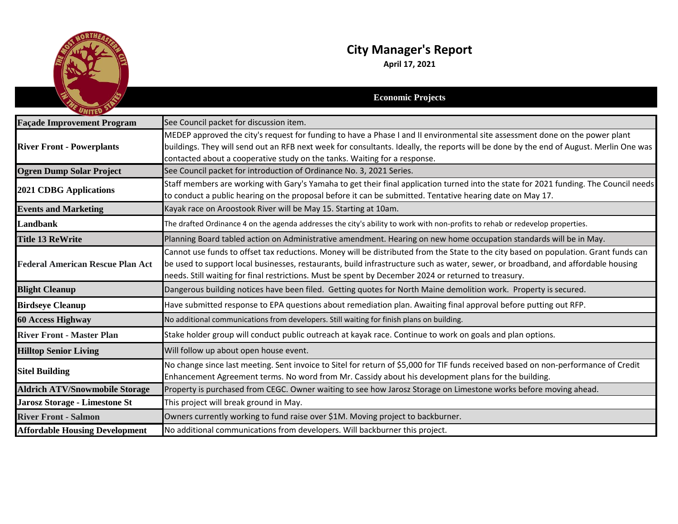

## **City Manager's Report**

**April 17, 2021**

| UNITED                                  | <b>Economic Projects</b>                                                                                                                                                                                                                                                                                                                                                          |
|-----------------------------------------|-----------------------------------------------------------------------------------------------------------------------------------------------------------------------------------------------------------------------------------------------------------------------------------------------------------------------------------------------------------------------------------|
| <b>Façade Improvement Program</b>       | See Council packet for discussion item.                                                                                                                                                                                                                                                                                                                                           |
| <b>River Front - Powerplants</b>        | MEDEP approved the city's request for funding to have a Phase I and II environmental site assessment done on the power plant<br>buildings. They will send out an RFB next week for consultants. Ideally, the reports will be done by the end of August. Merlin One was<br>contacted about a cooperative study on the tanks. Waiting for a response.                               |
| <b>Ogren Dump Solar Project</b>         | See Council packet for introduction of Ordinance No. 3, 2021 Series.                                                                                                                                                                                                                                                                                                              |
| <b>2021 CDBG Applications</b>           | Staff members are working with Gary's Yamaha to get their final application turned into the state for 2021 funding. The Council needs<br>to conduct a public hearing on the proposal before it can be submitted. Tentative hearing date on May 17.                                                                                                                                |
| <b>Events and Marketing</b>             | Kayak race on Aroostook River will be May 15. Starting at 10am.                                                                                                                                                                                                                                                                                                                   |
| Landbank                                | The drafted Ordinance 4 on the agenda addresses the city's ability to work with non-profits to rehab or redevelop properties.                                                                                                                                                                                                                                                     |
| <b>Title 13 ReWrite</b>                 | Planning Board tabled action on Administrative amendment. Hearing on new home occupation standards will be in May.                                                                                                                                                                                                                                                                |
| <b>Federal American Rescue Plan Act</b> | Cannot use funds to offset tax reductions. Money will be distributed from the State to the city based on population. Grant funds can<br>be used to support local businesses, restaurants, build infrastructure such as water, sewer, or broadband, and affordable housing<br>needs. Still waiting for final restrictions. Must be spent by December 2024 or returned to treasury. |
| <b>Blight Cleanup</b>                   | Dangerous building notices have been filed. Getting quotes for North Maine demolition work. Property is secured.                                                                                                                                                                                                                                                                  |
| <b>Birdseye Cleanup</b>                 | Have submitted response to EPA questions about remediation plan. Awaiting final approval before putting out RFP.                                                                                                                                                                                                                                                                  |
| <b>60 Access Highway</b>                | No additional communications from developers. Still waiting for finish plans on building.                                                                                                                                                                                                                                                                                         |
| <b>River Front - Master Plan</b>        | Stake holder group will conduct public outreach at kayak race. Continue to work on goals and plan options.                                                                                                                                                                                                                                                                        |
| <b>Hilltop Senior Living</b>            | Will follow up about open house event.                                                                                                                                                                                                                                                                                                                                            |
| <b>Sitel Building</b>                   | No change since last meeting. Sent invoice to Sitel for return of \$5,000 for TIF funds received based on non-performance of Credit<br>Enhancement Agreement terms. No word from Mr. Cassidy about his development plans for the building.                                                                                                                                        |
| <b>Aldrich ATV/Snowmobile Storage</b>   | Property is purchased from CEGC. Owner waiting to see how Jarosz Storage on Limestone works before moving ahead.                                                                                                                                                                                                                                                                  |
| Jarosz Storage - Limestone St           | This project will break ground in May.                                                                                                                                                                                                                                                                                                                                            |
| <b>River Front - Salmon</b>             | Owners currently working to fund raise over \$1M. Moving project to backburner.                                                                                                                                                                                                                                                                                                   |
| <b>Affordable Housing Development</b>   | No additional communications from developers. Will backburner this project.                                                                                                                                                                                                                                                                                                       |